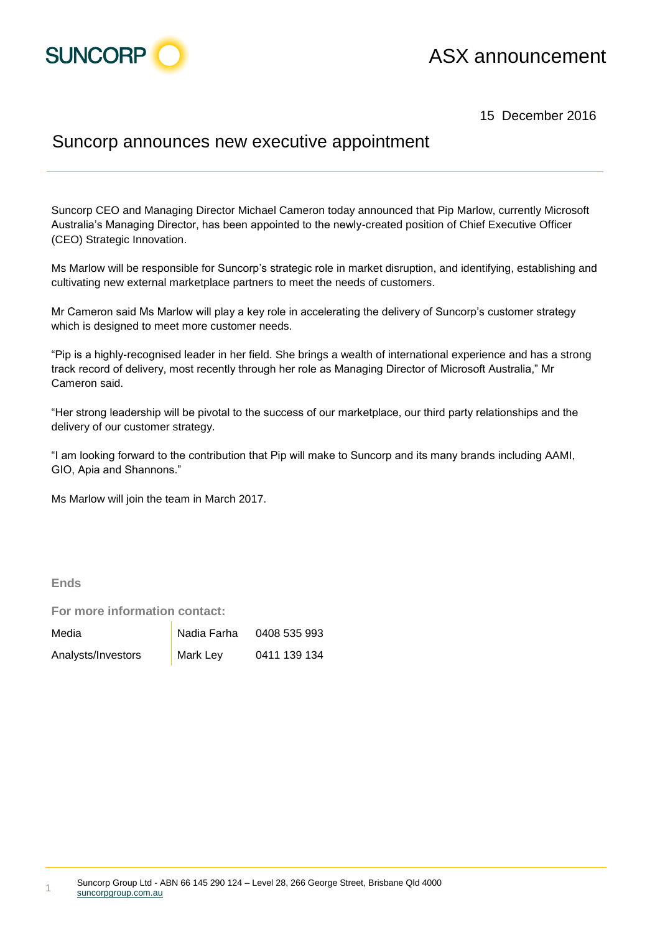

## ASX announcement

15 December 2016

## Suncorp announces new executive appointment

Suncorp CEO and Managing Director Michael Cameron today announced that Pip Marlow, currently Microsoft Australia's Managing Director, has been appointed to the newly-created position of Chief Executive Officer (CEO) Strategic Innovation.

Ms Marlow will be responsible for Suncorp's strategic role in market disruption, and identifying, establishing and cultivating new external marketplace partners to meet the needs of customers.

Mr Cameron said Ms Marlow will play a key role in accelerating the delivery of Suncorp's customer strategy which is designed to meet more customer needs.

"Pip is a highly-recognised leader in her field. She brings a wealth of international experience and has a strong track record of delivery, most recently through her role as Managing Director of Microsoft Australia," Mr Cameron said.

"Her strong leadership will be pivotal to the success of our marketplace, our third party relationships and the delivery of our customer strategy.

"I am looking forward to the contribution that Pip will make to Suncorp and its many brands including AAMI, GIO, Apia and Shannons."

Ms Marlow will join the team in March 2017.

**Ends**

1

**For more information contact:**

| Media              | Nadia Farha | 0408 535 993 |
|--------------------|-------------|--------------|
| Analysts/Investors | Mark Ley    | 0411 139 134 |